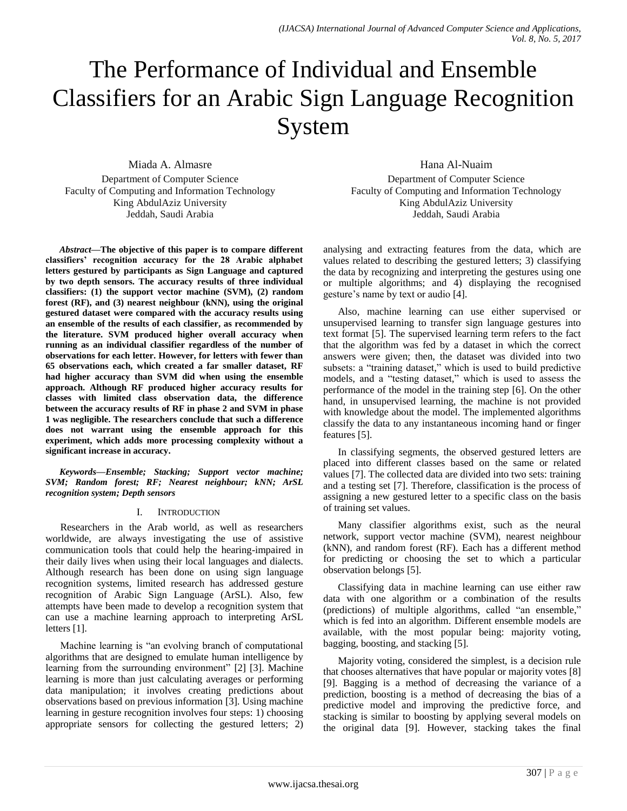# The Performance of Individual and Ensemble Classifiers for an Arabic Sign Language Recognition System

Miada A. Almasre Department of Computer Science Faculty of Computing and Information Technology King AbdulAziz University Jeddah, Saudi Arabia

*Abstract***—The objective of this paper is to compare different classifiers' recognition accuracy for the 28 Arabic alphabet letters gestured by participants as Sign Language and captured by two depth sensors. The accuracy results of three individual classifiers: (1) the support vector machine (SVM), (2) random forest (RF), and (3) nearest neighbour (kNN), using the original gestured dataset were compared with the accuracy results using an ensemble of the results of each classifier, as recommended by the literature. SVM produced higher overall accuracy when running as an individual classifier regardless of the number of observations for each letter. However, for letters with fewer than 65 observations each, which created a far smaller dataset, RF had higher accuracy than SVM did when using the ensemble approach. Although RF produced higher accuracy results for classes with limited class observation data, the difference between the accuracy results of RF in phase 2 and SVM in phase 1 was negligible. The researchers conclude that such a difference does not warrant using the ensemble approach for this experiment, which adds more processing complexity without a significant increase in accuracy.**

*Keywords—Ensemble; Stacking; Support vector machine; SVM; Random forest; RF; Nearest neighbour; kNN; ArSL recognition system; Depth sensors*

#### I. INTRODUCTION

Researchers in the Arab world, as well as researchers worldwide, are always investigating the use of assistive communication tools that could help the hearing-impaired in their daily lives when using their local languages and dialects. Although research has been done on using sign language recognition systems, limited research has addressed gesture recognition of Arabic Sign Language (ArSL). Also, few attempts have been made to develop a recognition system that can use a machine learning approach to interpreting ArSL letters [1].

Machine learning is "an evolving branch of computational algorithms that are designed to emulate human intelligence by learning from the surrounding environment" [2] [3]. Machine learning is more than just calculating averages or performing data manipulation; it involves creating predictions about observations based on previous information [3]. Using machine learning in gesture recognition involves four steps: 1) choosing appropriate sensors for collecting the gestured letters; 2)

Hana Al-Nuaim Department of Computer Science Faculty of Computing and Information Technology King AbdulAziz University Jeddah, Saudi Arabia

analysing and extracting features from the data, which are values related to describing the gestured letters; 3) classifying the data by recognizing and interpreting the gestures using one or multiple algorithms; and 4) displaying the recognised gesture's name by text or audio [4].

Also, machine learning can use either supervised or unsupervised learning to transfer sign language gestures into text format [5]. The supervised learning term refers to the fact that the algorithm was fed by a dataset in which the correct answers were given; then, the dataset was divided into two subsets: a "training dataset," which is used to build predictive models, and a "testing dataset," which is used to assess the performance of the model in the training step [6]. On the other hand, in unsupervised learning, the machine is not provided with knowledge about the model. The implemented algorithms classify the data to any instantaneous incoming hand or finger features [5].

In classifying segments, the observed gestured letters are placed into different classes based on the same or related values [7]. The collected data are divided into two sets: training and a testing set [7]. Therefore, classification is the process of assigning a new gestured letter to a specific class on the basis of training set values.

Many classifier algorithms exist, such as the neural network, support vector machine (SVM), nearest neighbour (kNN), and random forest (RF). Each has a different method for predicting or choosing the set to which a particular observation belongs [5].

Classifying data in machine learning can use either raw data with one algorithm or a combination of the results (predictions) of multiple algorithms, called "an ensemble," which is fed into an algorithm. Different ensemble models are available, with the most popular being: majority voting, bagging, boosting, and stacking [5].

Majority voting, considered the simplest, is a decision rule that chooses alternatives that have popular or majority votes [8] [9]. Bagging is a method of decreasing the variance of a prediction, boosting is a method of decreasing the bias of a predictive model and improving the predictive force, and stacking is similar to boosting by applying several models on the original data [9]. However, stacking takes the final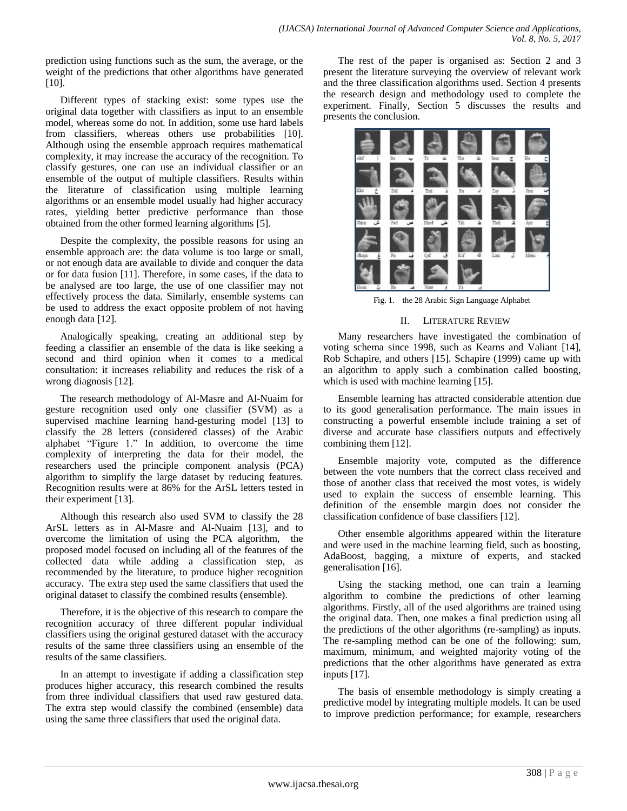prediction using functions such as the sum, the average, or the weight of the predictions that other algorithms have generated [10].

Different types of stacking exist: some types use the original data together with classifiers as input to an ensemble model, whereas some do not. In addition, some use hard labels from classifiers, whereas others use probabilities [10]. Although using the ensemble approach requires mathematical complexity, it may increase the accuracy of the recognition. To classify gestures, one can use an individual classifier or an ensemble of the output of multiple classifiers. Results within the literature of classification using multiple learning algorithms or an ensemble model usually had higher accuracy rates, yielding better predictive performance than those obtained from the other formed learning algorithms [5].

Despite the complexity, the possible reasons for using an ensemble approach are: the data volume is too large or small, or not enough data are available to divide and conquer the data or for data fusion [11]. Therefore, in some cases, if the data to be analysed are too large, the use of one classifier may not effectively process the data. Similarly, ensemble systems can be used to address the exact opposite problem of not having enough data [12].

Analogically speaking, creating an additional step by feeding a classifier an ensemble of the data is like seeking a second and third opinion when it comes to a medical consultation: it increases reliability and reduces the risk of a wrong diagnosis [12].

The research methodology of Al-Masre and Al-Nuaim for gesture recognition used only one classifier (SVM) as a supervised machine learning hand-gesturing model [13] to classify the 28 letters (considered classes) of the Arabic alphabet "Figure 1." In addition, to overcome the time complexity of interpreting the data for their model, the researchers used the principle component analysis (PCA) algorithm to simplify the large dataset by reducing features. Recognition results were at 86% for the ArSL letters tested in their experiment [13].

Although this research also used SVM to classify the 28 ArSL letters as in Al-Masre and Al-Nuaim [13], and to overcome the limitation of using the PCA algorithm, the proposed model focused on including all of the features of the collected data while adding a classification step, as recommended by the literature, to produce higher recognition accuracy. The extra step used the same classifiers that used the original dataset to classify the combined results (ensemble).

Therefore, it is the objective of this research to compare the recognition accuracy of three different popular individual classifiers using the original gestured dataset with the accuracy results of the same three classifiers using an ensemble of the results of the same classifiers.

In an attempt to investigate if adding a classification step produces higher accuracy, this research combined the results from three individual classifiers that used raw gestured data. The extra step would classify the combined (ensemble) data using the same three classifiers that used the original data.

The rest of the paper is organised as: Section 2 and 3 present the literature surveying the overview of relevant work and the three classification algorithms used. Section 4 presents the research design and methodology used to complete the experiment. Finally, Section 5 discusses the results and presents the conclusion.



Fig. 1. the 28 Arabic Sign Language Alphabet

#### II. LITERATURE REVIEW

Many researchers have investigated the combination of voting schema since 1998, such as Kearns and Valiant [14], Rob Schapire, and others [15]. Schapire (1999) came up with an algorithm to apply such a combination called boosting, which is used with machine learning [15].

Ensemble learning has attracted considerable attention due to its good generalisation performance. The main issues in constructing a powerful ensemble include training a set of diverse and accurate base classifiers outputs and effectively combining them [12].

Ensemble majority vote, computed as the difference between the vote numbers that the correct class received and those of another class that received the most votes, is widely used to explain the success of ensemble learning. This definition of the ensemble margin does not consider the classification confidence of base classifiers [12].

Other ensemble algorithms appeared within the literature and were used in the machine learning field, such as boosting, AdaBoost, bagging, a mixture of experts, and stacked generalisation [16].

Using the stacking method, one can train a learning algorithm to combine the predictions of other learning algorithms. Firstly, all of the used algorithms are trained using the original data. Then, one makes a final prediction using all the predictions of the other algorithms (re-sampling) as inputs. The re-sampling method can be one of the following: sum, maximum, minimum, and weighted majority voting of the predictions that the other algorithms have generated as extra inputs [17].

The basis of ensemble methodology is simply creating a predictive model by integrating multiple models. It can be used to improve prediction performance; for example, researchers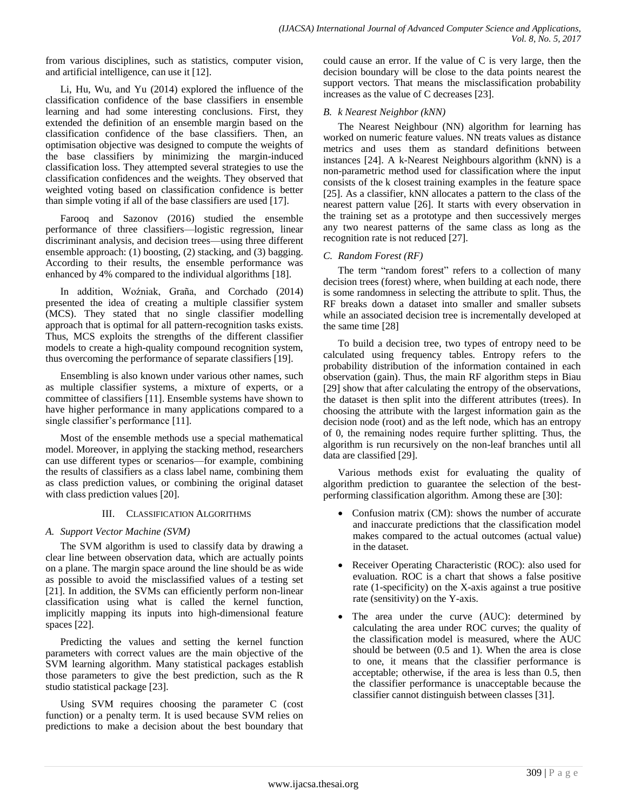from various disciplines, such as statistics, computer vision, and artificial intelligence, can use it [12].

Li, Hu, Wu, and Yu (2014) explored the influence of the classification confidence of the base classifiers in ensemble learning and had some interesting conclusions. First, they extended the definition of an ensemble margin based on the classification confidence of the base classifiers. Then, an optimisation objective was designed to compute the weights of the base classifiers by minimizing the margin-induced classification loss. They attempted several strategies to use the classification confidences and the weights. They observed that weighted voting based on classification confidence is better than simple voting if all of the base classifiers are used [17].

Farooq and Sazonov (2016) studied the ensemble performance of three classifiers—logistic regression, linear discriminant analysis, and decision trees—using three different ensemble approach: (1) boosting, (2) stacking, and (3) bagging. According to their results, the ensemble performance was enhanced by 4% compared to the individual algorithms [18].

In addition, Woźniak, Graña, and Corchado (2014) presented the idea of creating a multiple classifier system (MCS). They stated that no single classifier modelling approach that is optimal for all pattern-recognition tasks exists. Thus, MCS exploits the strengths of the different classifier models to create a high-quality compound recognition system, thus overcoming the performance of separate classifiers [19].

Ensembling is also known under various other names, such as multiple classifier systems, a mixture of experts, or a committee of classifiers [11]. Ensemble systems have shown to have higher performance in many applications compared to a single classifier's performance [11].

Most of the ensemble methods use a special mathematical model. Moreover, in applying the stacking method, researchers can use different types or scenarios—for example, combining the results of classifiers as a class label name, combining them as class prediction values, or combining the original dataset with class prediction values [20].

# III. CLASSIFICATION ALGORITHMS

# *A. Support Vector Machine (SVM)*

The SVM algorithm is used to classify data by drawing a clear line between observation data, which are actually points on a plane. The margin space around the line should be as wide as possible to avoid the misclassified values of a testing set [21]. In addition, the SVMs can efficiently perform non-linear classification using what is called the kernel function, implicitly mapping its inputs into high-dimensional feature spaces [22].

Predicting the values and setting the kernel function parameters with correct values are the main objective of the SVM learning algorithm. Many statistical packages establish those parameters to give the best prediction, such as the R studio statistical package [23].

Using SVM requires choosing the parameter C (cost function) or a penalty term. It is used because SVM relies on predictions to make a decision about the best boundary that

could cause an error. If the value of C is very large, then the decision boundary will be close to the data points nearest the support vectors. That means the misclassification probability increases as the value of C decreases [23].

## *B. k Nearest Neighbor (kNN)*

The Nearest Neighbour (NN) algorithm for learning has worked on numeric feature values. NN treats values as distance metrics and uses them as standard definitions between instances [24]. A k-Nearest Neighbours algorithm (kNN) is a non-parametric method used for classification where the input consists of the k closest training examples in the feature space [25]. As a classifier, kNN allocates a pattern to the class of the nearest pattern value [26]. It starts with every observation in the training set as a prototype and then successively merges any two nearest patterns of the same class as long as the recognition rate is not reduced [27].

# *C. Random Forest (RF)*

The term "random forest" refers to a collection of many decision trees (forest) where, when building at each node, there is some randomness in selecting the attribute to split. Thus, the RF breaks down a dataset into smaller and smaller subsets while an associated decision tree is incrementally developed at the same time [28]

To build a decision tree, two types of entropy need to be calculated using frequency tables. Entropy refers to the probability distribution of the information contained in each observation (gain). Thus, the main RF algorithm steps in Biau [29] show that after calculating the entropy of the observations, the dataset is then split into the different attributes (trees). In choosing the attribute with the largest information gain as the decision node (root) and as the left node, which has an entropy of 0, the remaining nodes require further splitting. Thus, the algorithm is run recursively on the non-leaf branches until all data are classified [29].

Various methods exist for evaluating the quality of algorithm prediction to guarantee the selection of the bestperforming classification algorithm. Among these are [30]:

- Confusion matrix (CM): shows the number of accurate and inaccurate predictions that the classification model makes compared to the actual outcomes (actual value) in the dataset.
- Receiver Operating Characteristic (ROC): also used for evaluation. ROC is a chart that shows a false positive rate (1-specificity) on the X-axis against a true positive rate (sensitivity) on the Y-axis.
- The area under the curve (AUC): determined by calculating the area under ROC curves; the quality of the classification model is measured, where the AUC should be between (0.5 and 1). When the area is close to one, it means that the classifier performance is acceptable; otherwise, if the area is less than 0.5, then the classifier performance is unacceptable because the classifier cannot distinguish between classes [31].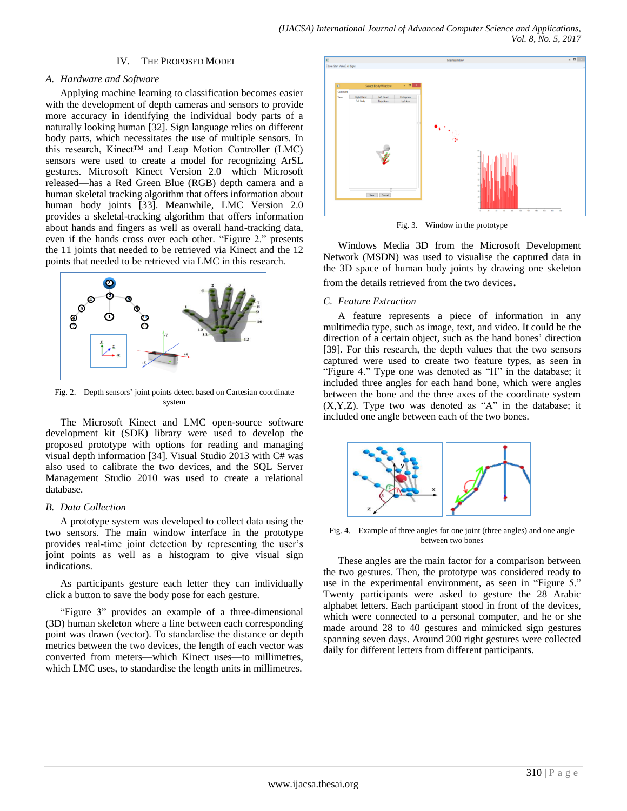#### IV. THE PROPOSED MODEL

## *A. Hardware and Software*

Applying machine learning to classification becomes easier with the development of depth cameras and sensors to provide more accuracy in identifying the individual body parts of a naturally looking human [32]. Sign language relies on different body parts, which necessitates the use of multiple sensors. In this research, Kinect™ and Leap Motion Controller (LMC) sensors were used to create a model for recognizing ArSL gestures. Microsoft Kinect Version 2.0—which Microsoft released—has a Red Green Blue (RGB) depth camera and a human skeletal tracking algorithm that offers information about human body joints [33]. Meanwhile, LMC Version 2.0 provides a skeletal-tracking algorithm that offers information about hands and fingers as well as overall hand-tracking data, even if the hands cross over each other. "Figure 2." presents the 11 joints that needed to be retrieved via Kinect and the 12 points that needed to be retrieved via LMC in this research.



Fig. 2. Depth sensors' joint points detect based on Cartesian coordinate system

The Microsoft Kinect and LMC open-source software development kit (SDK) library were used to develop the proposed prototype with options for reading and managing visual depth information [34]. Visual Studio 2013 with C# was also used to calibrate the two devices, and the SQL Server Management Studio 2010 was used to create a relational database.

# *B. Data Collection*

A prototype system was developed to collect data using the two sensors. The main window interface in the prototype provides real-time joint detection by representing the user's joint points as well as a histogram to give visual sign indications.

As participants gesture each letter they can individually click a button to save the body pose for each gesture.

"Figure 3" provides an example of a three-dimensional (3D) human skeleton where a line between each corresponding point was drawn (vector). To standardise the distance or depth metrics between the two devices, the length of each vector was converted from meters—which Kinect uses—to millimetres, which LMC uses, to standardise the length units in millimetres.



Fig. 3. Window in the prototype

Windows Media 3D from the Microsoft Development Network (MSDN) was used to visualise the captured data in the 3D space of human body joints by drawing one skeleton from the details retrieved from the two devices.

#### *C. Feature Extraction*

A feature represents a piece of information in any multimedia type, such as image, text, and video. It could be the direction of a certain object, such as the hand bones' direction [39]. For this research, the depth values that the two sensors captured were used to create two feature types, as seen in "Figure 4." Type one was denoted as "H" in the database; it included three angles for each hand bone, which were angles between the bone and the three axes of the coordinate system  $(X, Y, Z)$ . Type two was denoted as "A" in the database; it included one angle between each of the two bones.



Fig. 4. Example of three angles for one joint (three angles) and one angle between two bones

These angles are the main factor for a comparison between the two gestures. Then, the prototype was considered ready to use in the experimental environment, as seen in "Figure 5." Twenty participants were asked to gesture the 28 Arabic alphabet letters. Each participant stood in front of the devices, which were connected to a personal computer, and he or she made around 28 to 40 gestures and mimicked sign gestures spanning seven days. Around 200 right gestures were collected daily for different letters from different participants.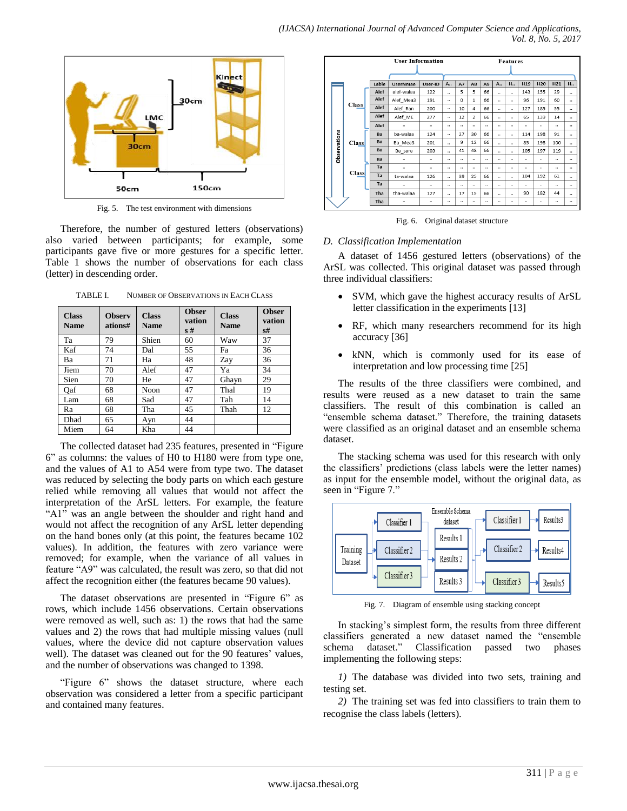

Fig. 5. The test environment with dimensions

Therefore, the number of gestured letters (observations) also varied between participants; for example, some participants gave five or more gestures for a specific letter. Table 1 shows the number of observations for each class (letter) in descending order.

TABLE I. NUMBER OF OBSERVATIONS IN EACH CLASS

| <b>Class</b><br><b>Name</b> | <b>Observ</b><br>ations# | <b>Class</b><br><b>Name</b> | <b>Obser</b><br>vation<br>$s \#$ | <b>Class</b><br><b>Name</b> | <b>Obser</b><br>vation<br>s# |
|-----------------------------|--------------------------|-----------------------------|----------------------------------|-----------------------------|------------------------------|
| Ta                          | 79                       | Shien                       | 60                               | Waw                         | 37                           |
| Kaf                         | 74                       | Dal                         | 55                               | Fa                          | 36                           |
| Ba                          | 71                       | Ha                          | 48                               | Zay                         | 36                           |
| Jiem                        | 70                       | Alef                        | 47                               | Ya                          | 34                           |
| Sien                        | 70                       | He                          | 47                               | Ghayn                       | 29                           |
| Oaf                         | 68                       | Noon                        | 47                               | Thal                        | 19                           |
| Lam                         | 68                       | Sad                         | 47                               | Tah                         | 14                           |
| Ra                          | 68                       | Tha                         | 45                               | Thah                        | 12                           |
| <b>Dhad</b>                 | 65                       | Ayn                         | 44                               |                             |                              |
| Miem                        | 64                       | Kha                         | 44                               |                             |                              |

The collected dataset had 235 features, presented in "Figure  $6$ " as columns: the values of H0 to H180 were from type one, and the values of A1 to A54 were from type two. The dataset was reduced by selecting the body parts on which each gesture relied while removing all values that would not affect the interpretation of the ArSL letters. For example, the feature "A1" was an angle between the shoulder and right hand and would not affect the recognition of any ArSL letter depending on the hand bones only (at this point, the features became 102 values). In addition, the features with zero variance were removed; for example, when the variance of all values in feature "A9" was calculated, the result was zero, so that did not affect the recognition either (the features became 90 values).

The dataset observations are presented in "Figure 6" as rows, which include 1456 observations. Certain observations were removed as well, such as: 1) the rows that had the same values and 2) the rows that had multiple missing values (null values, where the device did not capture observation values well). The dataset was cleaned out for the 90 features' values, and the number of observations was changed to 1398.

"Figure 6" shows the dataset structure, where each observation was considered a letter from a specific participant and contained many features.

|  | <b>User Information</b> |              |       |                      | <b>Features</b> |                      |          |                |                      |                          |                          |                      |                      |                      |                          |
|--|-------------------------|--------------|-------|----------------------|-----------------|----------------------|----------|----------------|----------------------|--------------------------|--------------------------|----------------------|----------------------|----------------------|--------------------------|
|  |                         |              | Lable | <b>UserNmae</b>      | User-ID         | A.,                  | A7       | A <sub>8</sub> | A <sub>9</sub>       | A.,                      | H.,                      | H <sub>19</sub>      | <b>H20</b>           | H <sub>21</sub>      | Н.,                      |
|  |                         |              | Alef  | alef-walaa           | 122             |                      | 5        | 5              | 66                   |                          |                          | 143                  | 155                  | 29                   |                          |
|  |                         |              | Alef  | Alef Mea3            | 191             | <br>                 | $\Omega$ | $\mathbf{1}$   | 66                   | <br>$\ddot{\phantom{a}}$ | <br>$\ddot{\phantom{a}}$ | 96                   | 191                  | 60                   | <br>$\ddot{\phantom{a}}$ |
|  |                         | Class        | Alef  | Alef Ran             | 200             |                      | 10       | 4              | 66                   | $\ddot{\phantom{a}}$     | $\ddot{\phantom{a}}$     | 127                  | 185                  | 55                   | $\ddot{\phantom{a}}$     |
|  |                         |              | Alef  | Alef ME              | 277             |                      | 12       | $\overline{z}$ | 66                   | $\ddot{\phantom{a}}$     | $\ddot{\phantom{a}}$     | 65                   | 139                  | 14                   | $\ddot{\phantom{a}}$     |
|  | Observations            |              | Alef  |                      |                 |                      |          |                |                      |                          |                          |                      | $\cdot$              |                      |                          |
|  |                         | Class        | Ra    | ba-walaa             | 124             |                      | 27       | 30             | 66                   |                          |                          | 114                  | 198                  | 91                   |                          |
|  |                         |              | Ba    | Ba Mea3              | 201             |                      | 9        | 12             | 66                   |                          |                          | 85                   | 198                  | 100                  |                          |
|  |                         |              | Ba    | Ba sara              | 203             |                      | 41       | 48             | 66                   |                          |                          | 105                  | 197                  | 119                  |                          |
|  |                         | <b>Class</b> | Ba    | $\ddot{\phantom{a}}$ | $\mathbf{r}$    |                      |          |                | $\ddot{\phantom{a}}$ |                          |                          | $\ddot{\phantom{a}}$ | $\sim$               | $\ddot{\phantom{a}}$ | $\ldots$                 |
|  |                         |              | Ta    | $\ddot{\phantom{a}}$ | ٠.              |                      |          |                | $\ddot{\phantom{a}}$ | н.                       |                          |                      | $\mathbf{a}$         | $\ddot{\phantom{a}}$ | $\ddotsc$                |
|  |                         |              | Ta    | ta-walaa             | 126             | $\ddot{\phantom{a}}$ | 39       | 25             | 66                   | $\ddot{\phantom{a}}$     | $\ddot{\phantom{a}}$     | 104                  | 192                  | 61                   | $\ddot{\phantom{a}}$     |
|  |                         |              | Ta    |                      |                 |                      |          |                |                      |                          |                          |                      | $\cdot$              |                      |                          |
|  |                         |              | Tha   | tha-walaa            | 127             |                      | 17       | 15             | 66                   |                          |                          | 90                   | 182                  | 44                   | $\ddotsc$                |
|  |                         |              | Tha   |                      |                 |                      |          |                |                      |                          |                          |                      | $\ddot{\phantom{0}}$ | $\cdots$             |                          |

Fig. 6. Original dataset structure

# *D. Classification Implementation*

A dataset of 1456 gestured letters (observations) of the ArSL was collected. This original dataset was passed through three individual classifiers:

- SVM, which gave the highest accuracy results of ArSL letter classification in the experiments [13]
- RF, which many researchers recommend for its high accuracy [36]
- kNN, which is commonly used for its ease of interpretation and low processing time [25]

The results of the three classifiers were combined, and results were reused as a new dataset to train the same classifiers. The result of this combination is called an "ensemble schema dataset." Therefore, the training datasets were classified as an original dataset and an ensemble schema dataset.

The stacking schema was used for this research with only the classifiers' predictions (class labels were the letter names) as input for the ensemble model, without the original data, as seen in "Figure 7."



Fig. 7. Diagram of ensemble using stacking concept

In stacking's simplest form, the results from three different classifiers generated a new dataset named the "ensemble schema dataset." Classification passed two phases Classification passed two phases implementing the following steps:

*1)* The database was divided into two sets, training and testing set.

*2)* The training set was fed into classifiers to train them to recognise the class labels (letters).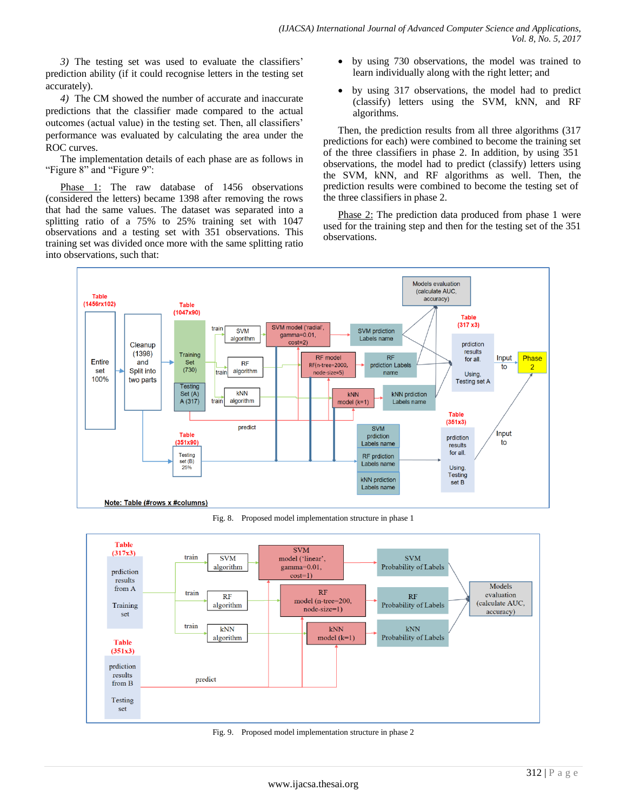*3)* The testing set was used to evaluate the classifiers' prediction ability (if it could recognise letters in the testing set accurately).

*4)* The CM showed the number of accurate and inaccurate predictions that the classifier made compared to the actual outcomes (actual value) in the testing set. Then, all classifiers' performance was evaluated by calculating the area under the ROC curves.

The implementation details of each phase are as follows in "Figure 8" and "Figure 9":

Phase 1: The raw database of 1456 observations (considered the letters) became 1398 after removing the rows that had the same values. The dataset was separated into a splitting ratio of a 75% to 25% training set with 1047 observations and a testing set with 351 observations. This training set was divided once more with the same splitting ratio into observations, such that:

- by using 730 observations, the model was trained to learn individually along with the right letter; and
- by using 317 observations, the model had to predict (classify) letters using the SVM, kNN, and RF algorithms.

Then, the prediction results from all three algorithms (317 predictions for each) were combined to become the training set of the three classifiers in phase 2. In addition, by using 351 observations, the model had to predict (classify) letters using the SVM, kNN, and RF algorithms as well. Then, the prediction results were combined to become the testing set of the three classifiers in phase 2.

Phase 2: The prediction data produced from phase 1 were used for the training step and then for the testing set of the 351 observations.



Fig. 8. Proposed model implementation structure in phase 1



Fig. 9. Proposed model implementation structure in phase 2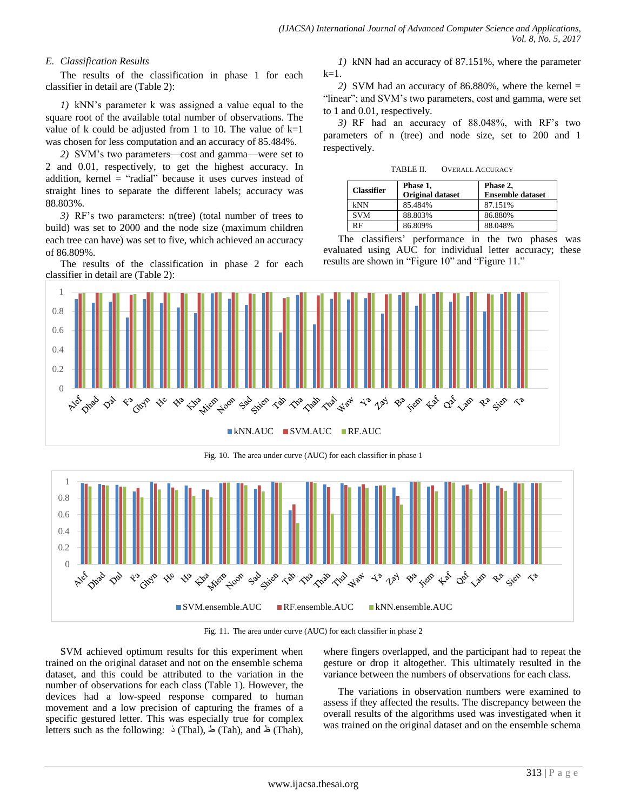#### *E. Classification Results*

The results of the classification in phase 1 for each classifier in detail are (Table 2):

*1)* kNN's parameter k was assigned a value equal to the square root of the available total number of observations. The value of k could be adjusted from 1 to 10. The value of  $k=1$ was chosen for less computation and an accuracy of 85.484%.

*2)* SVM's two parameters—cost and gamma—were set to 2 and 0.01, respectively, to get the highest accuracy. In addition, kernel  $=$  "radial" because it uses curves instead of straight lines to separate the different labels; accuracy was 88.803%.

*3)* RF's two parameters: n(tree) (total number of trees to build) was set to 2000 and the node size (maximum children each tree can have) was set to five, which achieved an accuracy of 86.809%.

The results of the classification in phase 2 for each classifier in detail are (Table 2):

*1)* kNN had an accuracy of 87.151%, where the parameter  $k=1$ .

*2)* SVM had an accuracy of 86.880%, where the kernel = "linear"; and SVM's two parameters, cost and gamma, were set to 1 and 0.01, respectively.

*3)* RF had an accuracy of 88.048%, with RF's two parameters of n (tree) and node size, set to 200 and 1 respectively.

TABLE II. OVERALL ACCURACY

| <b>Classifier</b> | Phase 1,<br><b>Original dataset</b> | Phase 2,<br><b>Ensemble dataset</b> |  |  |
|-------------------|-------------------------------------|-------------------------------------|--|--|
| kNN               | 85.484%                             | 87.151%                             |  |  |
| <b>SVM</b>        | 88.803%                             | 86.880%                             |  |  |
| RF                | 86.809%                             | 88.048%                             |  |  |

The classifiers' performance in the two phases was evaluated using AUC for individual letter accuracy; these results are shown in "Figure 10" and "Figure 11."



Fig. 10. The area under curve (AUC) for each classifier in phase 1



Fig. 11. The area under curve (AUC) for each classifier in phase 2

SVM achieved optimum results for this experiment when trained on the original dataset and not on the ensemble schema dataset, and this could be attributed to the variation in the number of observations for each class (Table 1). However, the devices had a low-speed response compared to human movement and a low precision of capturing the frames of a specific gestured letter. This was especially true for complex letters such as the following: ذ) (Thal),  $\perp$  (Tah), and  $\perp$  (Thah), where fingers overlapped, and the participant had to repeat the gesture or drop it altogether. This ultimately resulted in the variance between the numbers of observations for each class.

The variations in observation numbers were examined to assess if they affected the results. The discrepancy between the overall results of the algorithms used was investigated when it was trained on the original dataset and on the ensemble schema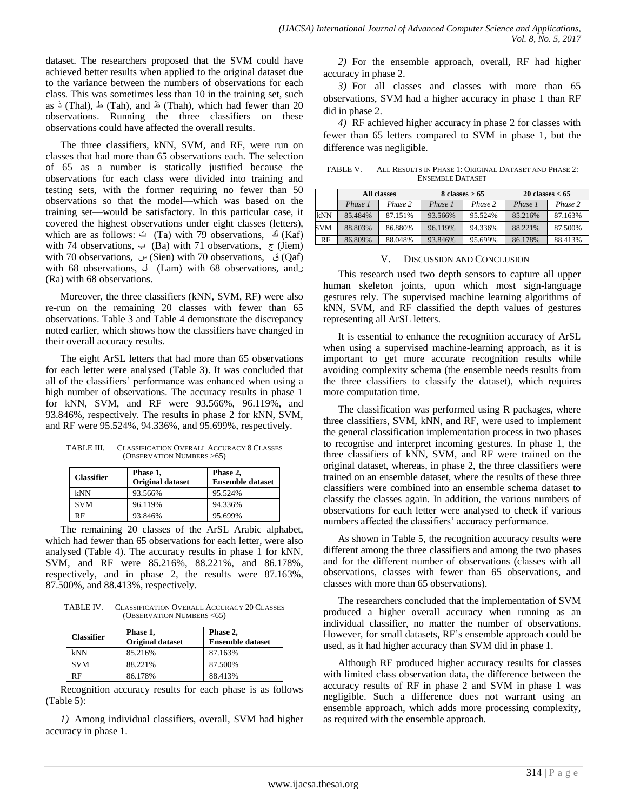dataset. The researchers proposed that the SVM could have achieved better results when applied to the original dataset due to the variance between the numbers of observations for each class. This was sometimes less than 10 in the training set, such as  $\Delta$  (Thal),  $\Delta$  (Tah), and  $\Delta$  (Thah), which had fewer than 20 observations. Running the three classifiers on these observations could have affected the overall results.

The three classifiers, kNN, SVM, and RF, were run on classes that had more than 65 observations each. The selection of 65 as a number is statically justified because the observations for each class were divided into training and testing sets, with the former requiring no fewer than 50 observations so that the model—which was based on the training set—would be satisfactory. In this particular case, it covered the highest observations under eight classes (letters), which are as follows:  $\dot{\mathcal{L}}$  (Ta) with 79 observations,  $\dot{\mathcal{L}}$  (Kaf) with 74 observations,  $\leftrightarrow$  (Ba) with 71 observations,  $\sim$  (Jiem) with 70 observations,  $\omega$  (Sien) with 70 observations,  $\phi$  (Qaf) with 68 observations,  $\sqrt{Lam}$  (Lam) with 68 observations, and (Ra) with 68 observations.

Moreover, the three classifiers (kNN, SVM, RF) were also re-run on the remaining 20 classes with fewer than 65 observations. Table 3 and Table 4 demonstrate the discrepancy noted earlier, which shows how the classifiers have changed in their overall accuracy results.

The eight ArSL letters that had more than 65 observations for each letter were analysed (Table 3). It was concluded that all of the classifiers' performance was enhanced when using a high number of observations. The accuracy results in phase 1 for kNN, SVM, and RF were 93.566%, 96.119%, and 93.846%, respectively. The results in phase 2 for kNN, SVM, and RF were 95.524%, 94.336%, and 95.699%, respectively.

TABLE III. CLASSIFICATION OVERALL ACCURACY 8 CLASSES (OBSERVATION NUMBERS >65)

| <b>Classifier</b> | Phase 1,<br><b>Original dataset</b> | Phase 2,<br><b>Ensemble dataset</b> |  |  |
|-------------------|-------------------------------------|-------------------------------------|--|--|
| kNN               | 93.566%                             | 95.524%                             |  |  |
| <b>SVM</b>        | 96.119%                             | 94.336%                             |  |  |
| 9 F               | 93.846%                             | 95.699%                             |  |  |

The remaining 20 classes of the ArSL Arabic alphabet, which had fewer than 65 observations for each letter, were also analysed (Table 4). The accuracy results in phase 1 for kNN, SVM, and RF were 85.216%, 88.221%, and 86.178%, respectively, and in phase 2, the results were 87.163%, 87.500%, and 88.413%, respectively.

TABLE IV. CLASSIFICATION OVERALL ACCURACY 20 CLASSES (OBSERVATION NUMBERS <65)

| <b>Classifier</b> | Phase 1,<br><b>Original dataset</b> | Phase 2,<br><b>Ensemble dataset</b> |
|-------------------|-------------------------------------|-------------------------------------|
| kNN               | 85.216%                             | 87.163%                             |
| <b>SVM</b>        | 88.221%                             | 87.500%                             |
| <b>RF</b>         | 86.178%                             | 88.413%                             |

Recognition accuracy results for each phase is as follows (Table 5):

*1)* Among individual classifiers, overall, SVM had higher accuracy in phase 1.

*2)* For the ensemble approach, overall, RF had higher accuracy in phase 2.

*3)* For all classes and classes with more than 65 observations, SVM had a higher accuracy in phase 1 than RF did in phase 2.

*4)* RF achieved higher accuracy in phase 2 for classes with fewer than 65 letters compared to SVM in phase 1, but the difference was negligible.

TABLE V. ALL RESULTS IN PHASE 1: ORIGINAL DATASET AND PHASE 2: ENSEMBLE DATASET

|            | All classes |         |         | $8 \text{ classes} > 65$ | 20 classes $< 65$ |         |  |
|------------|-------------|---------|---------|--------------------------|-------------------|---------|--|
|            | Phase 1     | Phase 2 | Phase 1 | Phase 2                  | Phase 1           | Phase 2 |  |
| kNN        | 85.484%     | 87.151% | 93.566% | 95.524%                  | 85.216%           | 87.163% |  |
| <b>SVM</b> | 88.803%     | 86.880% | 96.119% | 94.336%                  | 88.221%           | 87.500% |  |
| RF         | 86.809%     | 88.048% | 93.846% | 95.699%                  | 86.178%           | 88.413% |  |

#### V. DISCUSSION AND CONCLUSION

This research used two depth sensors to capture all upper human skeleton joints, upon which most sign-language gestures rely. The supervised machine learning algorithms of kNN, SVM, and RF classified the depth values of gestures representing all ArSL letters.

It is essential to enhance the recognition accuracy of ArSL when using a supervised machine-learning approach, as it is important to get more accurate recognition results while avoiding complexity schema (the ensemble needs results from the three classifiers to classify the dataset), which requires more computation time.

The classification was performed using R packages, where three classifiers, SVM, kNN, and RF, were used to implement the general classification implementation process in two phases to recognise and interpret incoming gestures. In phase 1, the three classifiers of kNN, SVM, and RF were trained on the original dataset, whereas, in phase 2, the three classifiers were trained on an ensemble dataset, where the results of these three classifiers were combined into an ensemble schema dataset to classify the classes again. In addition, the various numbers of observations for each letter were analysed to check if various numbers affected the classifiers' accuracy performance.

As shown in Table 5, the recognition accuracy results were different among the three classifiers and among the two phases and for the different number of observations (classes with all observations, classes with fewer than 65 observations, and classes with more than 65 observations).

The researchers concluded that the implementation of SVM produced a higher overall accuracy when running as an individual classifier, no matter the number of observations. However, for small datasets, RF's ensemble approach could be used, as it had higher accuracy than SVM did in phase 1.

Although RF produced higher accuracy results for classes with limited class observation data, the difference between the accuracy results of RF in phase 2 and SVM in phase 1 was negligible. Such a difference does not warrant using an ensemble approach, which adds more processing complexity, as required with the ensemble approach.